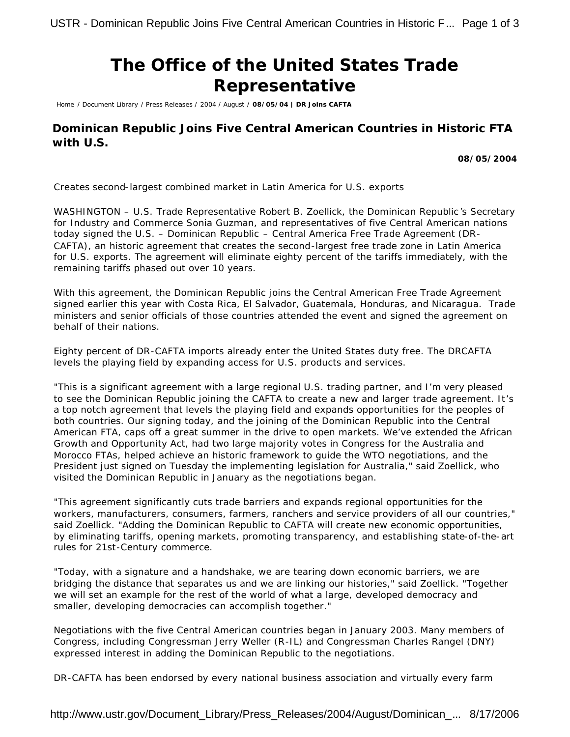## **The Office of the United States Trade Representative**

Home / Document Library / Press Releases / 2004 / August / **08/05/04 | DR Joins CAFTA**

## **Dominican Republic Joins Five Central American Countries in Historic FTA with U.S.**

**08/05/2004**

*Creates second-largest combined market in Latin America for U.S. exports*

WASHINGTON – U.S. Trade Representative Robert B. Zoellick, the Dominican Republic's Secretary for Industry and Commerce Sonia Guzman, and representatives of five Central American nations today signed the U.S. – Dominican Republic – Central America Free Trade Agreement (DR-CAFTA), an historic agreement that creates the second-largest free trade zone in Latin America for U.S. exports. The agreement will eliminate eighty percent of the tariffs immediately, with the remaining tariffs phased out over 10 years.

With this agreement, the Dominican Republic joins the Central American Free Trade Agreement signed earlier this year with Costa Rica, El Salvador, Guatemala, Honduras, and Nicaragua. Trade ministers and senior officials of those countries attended the event and signed the agreement on behalf of their nations.

Eighty percent of DR-CAFTA imports already enter the United States duty free. The DRCAFTA levels the playing field by expanding access for U.S. products and services.

"This is a significant agreement with a large regional U.S. trading partner, and I'm very pleased to see the Dominican Republic joining the CAFTA to create a new and larger trade agreement. It's a top notch agreement that levels the playing field and expands opportunities for the peoples of both countries. Our signing today, and the joining of the Dominican Republic into the Central American FTA, caps off a great summer in the drive to open markets. We've extended the African Growth and Opportunity Act, had two large majority votes in Congress for the Australia and Morocco FTAs, helped achieve an historic framework to guide the WTO negotiations, and the President just signed on Tuesday the implementing legislation for Australia," said Zoellick, who visited the Dominican Republic in January as the negotiations began.

"This agreement significantly cuts trade barriers and expands regional opportunities for the workers, manufacturers, consumers, farmers, ranchers and service providers of all our countries," said Zoellick. "Adding the Dominican Republic to CAFTA will create new economic opportunities, by eliminating tariffs, opening markets, promoting transparency, and establishing state-of-the-art rules for 21st-Century commerce.

"Today, with a signature and a handshake, we are tearing down economic barriers, we are bridging the distance that separates us and we are linking our histories," said Zoellick. "Together we will set an example for the rest of the world of what a large, developed democracy and smaller, developing democracies can accomplish together."

Negotiations with the five Central American countries began in January 2003. Many members of Congress, including Congressman Jerry Weller (R-IL) and Congressman Charles Rangel (DNY) expressed interest in adding the Dominican Republic to the negotiations.

DR-CAFTA has been endorsed by every national business association and virtually every farm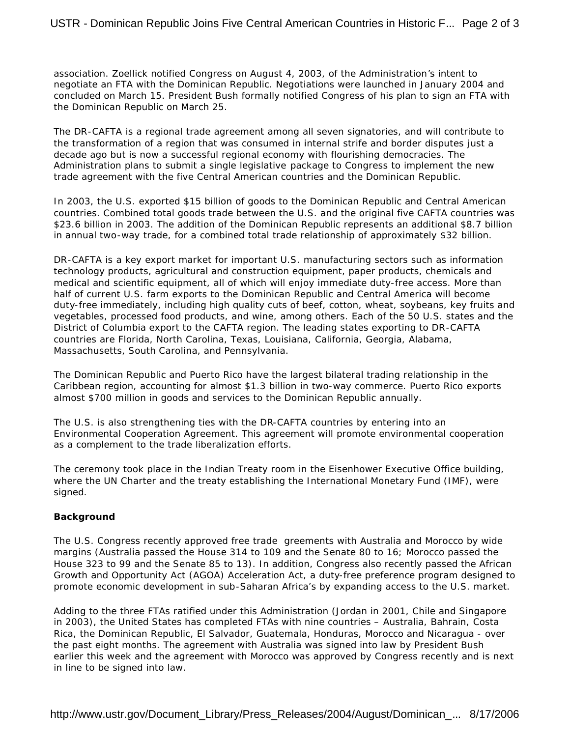association. Zoellick notified Congress on August 4, 2003, of the Administration's intent to negotiate an FTA with the Dominican Republic. Negotiations were launched in January 2004 and concluded on March 15. President Bush formally notified Congress of his plan to sign an FTA with the Dominican Republic on March 25.

The DR-CAFTA is a regional trade agreement among all seven signatories, and will contribute to the transformation of a region that was consumed in internal strife and border disputes just a decade ago but is now a successful regional economy with flourishing democracies. The Administration plans to submit a single legislative package to Congress to implement the new trade agreement with the five Central American countries and the Dominican Republic.

In 2003, the U.S. exported \$15 billion of goods to the Dominican Republic and Central American countries. Combined total goods trade between the U.S. and the original five CAFTA countries was \$23.6 billion in 2003. The addition of the Dominican Republic represents an additional \$8.7 billion in annual two-way trade, for a combined total trade relationship of approximately \$32 billion.

DR-CAFTA is a key export market for important U.S. manufacturing sectors such as information technology products, agricultural and construction equipment, paper products, chemicals and medical and scientific equipment, all of which will enjoy immediate duty-free access. More than half of current U.S. farm exports to the Dominican Republic and Central America will become duty-free immediately, including high quality cuts of beef, cotton, wheat, soybeans, key fruits and vegetables, processed food products, and wine, among others. Each of the 50 U.S. states and the District of Columbia export to the CAFTA region. The leading states exporting to DR-CAFTA countries are Florida, North Carolina, Texas, Louisiana, California, Georgia, Alabama, Massachusetts, South Carolina, and Pennsylvania.

The Dominican Republic and Puerto Rico have the largest bilateral trading relationship in the Caribbean region, accounting for almost \$1.3 billion in two-way commerce. Puerto Rico exports almost \$700 million in goods and services to the Dominican Republic annually.

The U.S. is also strengthening ties with the DR-CAFTA countries by entering into an Environmental Cooperation Agreement. This agreement will promote environmental cooperation as a complement to the trade liberalization efforts.

The ceremony took place in the Indian Treaty room in the Eisenhower Executive Office building, where the UN Charter and the treaty establishing the International Monetary Fund (IMF), were signed.

## **Background**

The U.S. Congress recently approved free trade greements with Australia and Morocco by wide margins (Australia passed the House 314 to 109 and the Senate 80 to 16; Morocco passed the House 323 to 99 and the Senate 85 to 13). In addition, Congress also recently passed the African Growth and Opportunity Act (AGOA) Acceleration Act, a duty-free preference program designed to promote economic development in sub-Saharan Africa's by expanding access to the U.S. market.

Adding to the three FTAs ratified under this Administration (Jordan in 2001, Chile and Singapore in 2003), the United States has completed FTAs with nine countries – Australia, Bahrain, Costa Rica, the Dominican Republic, El Salvador, Guatemala, Honduras, Morocco and Nicaragua - over the past eight months. The agreement with Australia was signed into law by President Bush earlier this week and the agreement with Morocco was approved by Congress recently and is next in line to be signed into law.